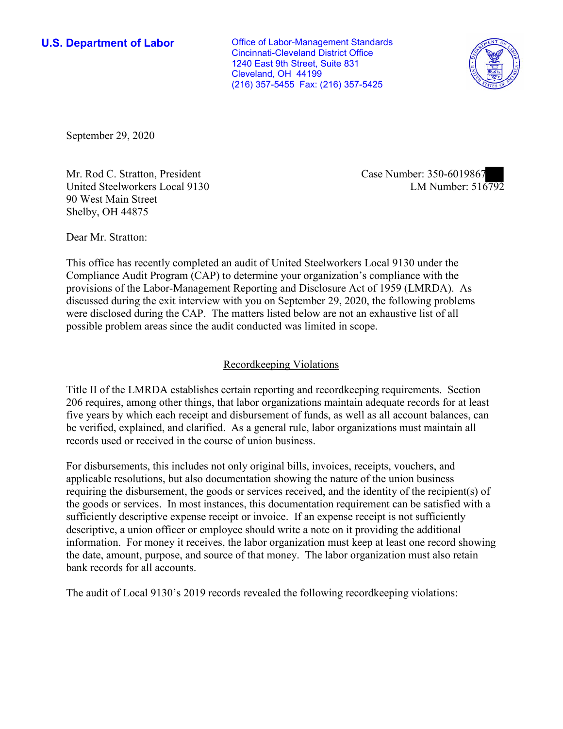Cleveland, OH 44199 **U.S. Department of Labor Conservative Conservative Conservative Conservative U.S.** Department of Labor Cincinnati-Cleveland District Office 1240 East 9th Street, Suite 831 (216) 357-5455 Fax: (216) 357-5425



September 29, 2020

Mr. Rod C. Stratton, President Case Number: 350-6019867 United Steelworkers Local 9130 90 West Main Street Shelby, OH 44875

LM Number:  $516792$ 

Dear Mr. Stratton:

 This office has recently completed an audit of United Steelworkers Local 9130 under the Compliance Audit Program (CAP) to determine your organization's compliance with the provisions of the Labor-Management Reporting and Disclosure Act of 1959 (LMRDA). As discussed during the exit interview with you on September 29, 2020, the following problems were disclosed during the CAP. The matters listed below are not an exhaustive list of all possible problem areas since the audit conducted was limited in scope.

## Recordkeeping Violations

 Title II of the LMRDA establishes certain reporting and recordkeeping requirements. Section 206 requires, among other things, that labor organizations maintain adequate records for at least five years by which each receipt and disbursement of funds, as well as all account balances, can be verified, explained, and clarified. As a general rule, labor organizations must maintain all records used or received in the course of union business.

For disbursements, this includes not only original bills, invoices, receipts, vouchers, and applicable resolutions, but also documentation showing the nature of the union business requiring the disbursement, the goods or services received, and the identity of the recipient(s) of the goods or services. In most instances, this documentation requirement can be satisfied with a sufficiently descriptive expense receipt or invoice. If an expense receipt is not sufficiently descriptive, a union officer or employee should write a note on it providing the additional information. For money it receives, the labor organization must keep at least one record showing the date, amount, purpose, and source of that money. The labor organization must also retain bank records for all accounts.

The audit of Local 9130's 2019 records revealed the following recordkeeping violations: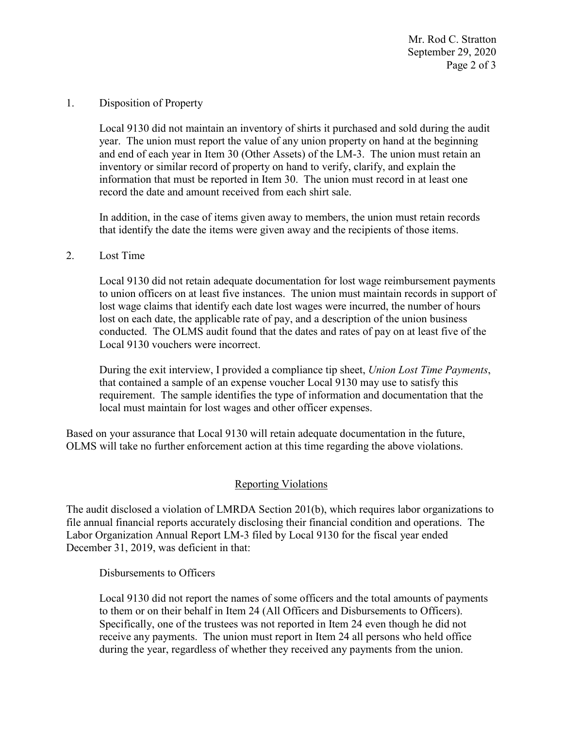Mr. Rod C. Stratton September 29, 2020 Page 2 of 3

Disposition of Property

1. Disposition of Property<br>Local 9130 did not maintain an inventory of shirts it purchased and sold during the audit record the date and amount received from each shirt sale. year. The union must report the value of any union property on hand at the beginning and end of each year in Item 30 (Other Assets) of the LM-3. The union must retain an inventory or similar record of property on hand to verify, clarify, and explain the information that must be reported in Item 30. The union must record in at least one

 that identify the date the items were given away and the recipients of those items. In addition, in the case of items given away to members, the union must retain records

## 2. Lost Time

Local 9130 did not retain adequate documentation for lost wage reimbursement payments to union officers on at least five instances. The union must maintain records in support of lost wage claims that identify each date lost wages were incurred, the number of hours lost on each date, the applicable rate of pay, and a description of the union business conducted. The OLMS audit found that the dates and rates of pay on at least five of the Local 9130 vouchers were incorrect.

During the exit interview, I provided a compliance tip sheet, *Union Lost Time Payments*, that contained a sample of an expense voucher Local 9130 may use to satisfy this requirement. The sample identifies the type of information and documentation that the local must maintain for lost wages and other officer expenses.

 Based on your assurance that Local 9130 will retain adequate documentation in the future, OLMS will take no further enforcement action at this time regarding the above violations.

## Reporting Violations

 Labor Organization Annual Report LM-3 filed by Local 9130 for the fiscal year ended The audit disclosed a violation of LMRDA Section 201(b), which requires labor organizations to file annual financial reports accurately disclosing their financial condition and operations. The December 31, 2019, was deficient in that:

Disbursements to Officers

 receive any payments. The union must report in Item 24 all persons who held office Local 9130 did not report the names of some officers and the total amounts of payments to them or on their behalf in Item 24 (All Officers and Disbursements to Officers). Specifically, one of the trustees was not reported in Item 24 even though he did not during the year, regardless of whether they received any payments from the union.